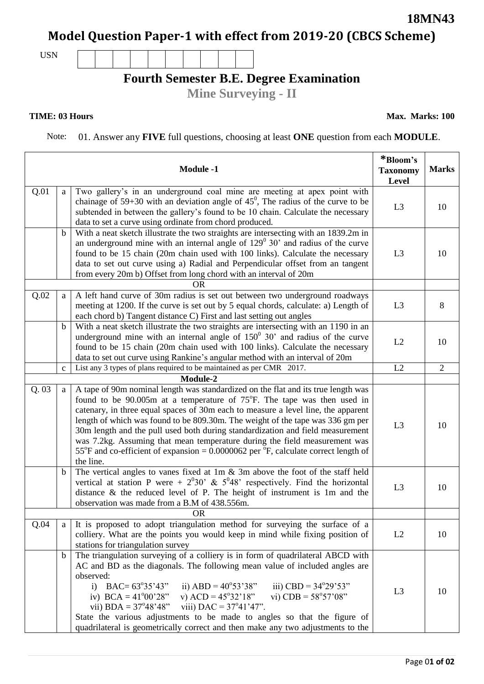## **Model Question Paper-1 with effect from 2019-20 (CBCS Scheme)**

USN

## **Fourth Semester B.E. Degree Examination**

**Mine Surveying - II**

## **TIME: 03 Hours**

Note: 01. Answer any **FIVE** full questions, choosing at least **ONE** question from each **MODULE**.

| <b>Module -1</b> |              |                                                                                                                                                                                                                                                                                                                                                                                                                                                                                                                                                                                                                      | *Bloom's<br><b>Taxonomy</b><br>Level | <b>Marks</b>   |
|------------------|--------------|----------------------------------------------------------------------------------------------------------------------------------------------------------------------------------------------------------------------------------------------------------------------------------------------------------------------------------------------------------------------------------------------------------------------------------------------------------------------------------------------------------------------------------------------------------------------------------------------------------------------|--------------------------------------|----------------|
| Q.01             | a            | Two gallery's in an underground coal mine are meeting at apex point with<br>chainage of 59+30 with an deviation angle of $45^{\circ}$ , The radius of the curve to be<br>subtended in between the gallery's found to be 10 chain. Calculate the necessary<br>data to set a curve using ordinate from chord produced.                                                                                                                                                                                                                                                                                                 | L <sub>3</sub>                       | 10             |
|                  | $\mathbf b$  | With a neat sketch illustrate the two straights are intersecting with an 1839.2m in<br>an underground mine with an internal angle of $129^{\circ}$ 30' and radius of the curve<br>found to be 15 chain (20m chain used with 100 links). Calculate the necessary<br>data to set out curve using a) Radial and Perpendicular offset from an tangent<br>from every 20m b) Offset from long chord with an interval of 20m                                                                                                                                                                                                | L <sub>3</sub>                       | 10             |
|                  |              | <b>OR</b>                                                                                                                                                                                                                                                                                                                                                                                                                                                                                                                                                                                                            |                                      |                |
| Q.02             | a            | A left hand curve of 30m radius is set out between two underground roadways<br>meeting at 1200. If the curve is set out by 5 equal chords, calculate: a) Length of<br>each chord b) Tangent distance C) First and last setting out angles                                                                                                                                                                                                                                                                                                                                                                            | L <sub>3</sub>                       | 8              |
|                  | $\mathbf b$  | With a neat sketch illustrate the two straights are intersecting with an 1190 in an<br>underground mine with an internal angle of $150^{\circ}$ 30' and radius of the curve<br>found to be 15 chain (20m chain used with 100 links). Calculate the necessary<br>data to set out curve using Rankine's angular method with an interval of 20m                                                                                                                                                                                                                                                                         | L2                                   | 10             |
|                  | $\mathbf{C}$ | List any 3 types of plans required to be maintained as per CMR 2017.                                                                                                                                                                                                                                                                                                                                                                                                                                                                                                                                                 | L2                                   | $\overline{2}$ |
| Module-2         |              |                                                                                                                                                                                                                                                                                                                                                                                                                                                                                                                                                                                                                      |                                      |                |
| Q.03             | a            | A tape of 90m nominal length was standardized on the flat and its true length was<br>found to be $90.005m$ at a temperature of $75^{\circ}F$ . The tape was then used in<br>catenary, in three equal spaces of 30m each to measure a level line, the apparent<br>length of which was found to be 809.30m. The weight of the tape was 336 gm per<br>30m length and the pull used both during standardization and field measurement<br>was 7.2kg. Assuming that mean temperature during the field measurement was<br>55°F and co-efficient of expansion = $0.0000062$ per °F, calculate correct length of<br>the line. | L <sub>3</sub>                       | 10             |
|                  | $\mathbf b$  | The vertical angles to vanes fixed at $1m \& 3m$ above the foot of the staff held<br>vertical at station P were + $2^030$ ' & $5^048$ ' respectively. Find the horizontal<br>distance $\&$ the reduced level of P. The height of instrument is 1m and the<br>observation was made from a B.M of 438.556m.                                                                                                                                                                                                                                                                                                            | L <sub>3</sub>                       | 10             |
|                  |              | <b>OR</b>                                                                                                                                                                                                                                                                                                                                                                                                                                                                                                                                                                                                            |                                      |                |
| Q.04             | a            | It is proposed to adopt triangulation method for surveying the surface of a<br>colliery. What are the points you would keep in mind while fixing position of<br>stations for triangulation survey                                                                                                                                                                                                                                                                                                                                                                                                                    | L2                                   | 10             |
|                  | $\mathbf b$  | The triangulation surveying of a colliery is in form of quadrilateral ABCD with<br>AC and BD as the diagonals. The following mean value of included angles are<br>observed:<br>i) BAC= $63^{\circ}35'43''$ ii) ABD = $40^{\circ}53'38''$<br>iii) CBD = $34^{\circ}29'53"$<br>iv) BCA = $41^{\circ}00'28''$ v) ACD = $45^{\circ}32'18''$ vi) CDB = $58^{\circ}57'08''$<br>vii) BDA = $37^{\circ}48'48''$ viii) DAC = $37^{\circ}41'47''$ .<br>State the various adjustments to be made to angles so that the figure of<br>quadrilateral is geometrically correct and then make any two adjustments to the             | L <sub>3</sub>                       | 10             |

**18MN43**

**Max. Marks: 100**